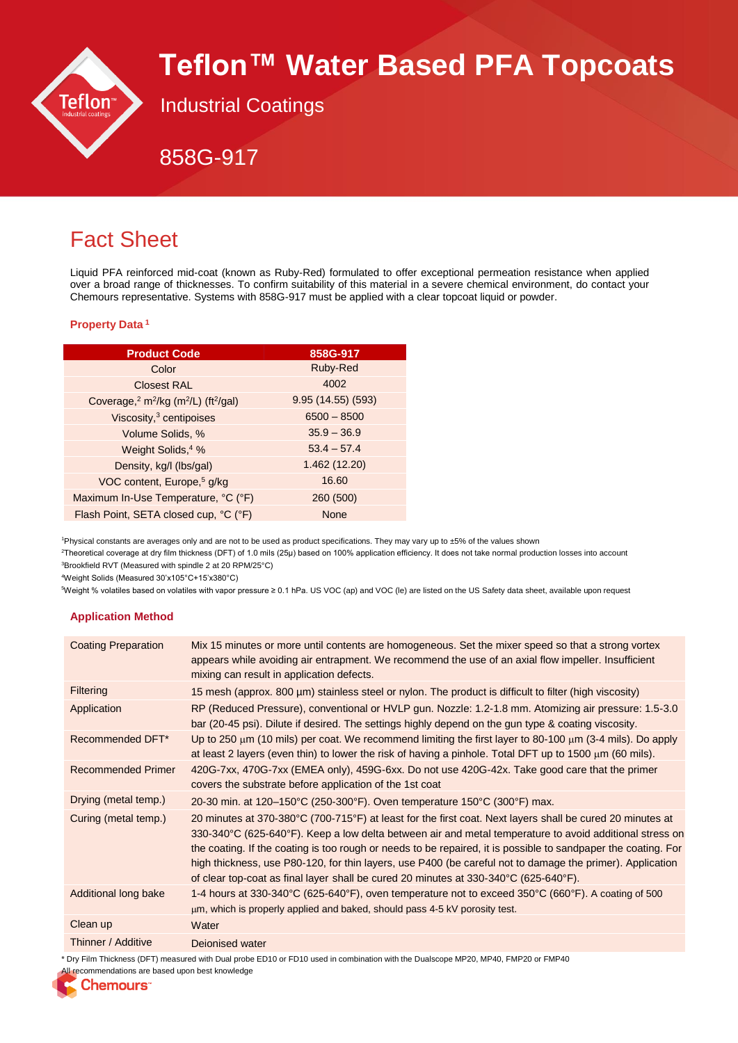

# **Teflon™ Water Based PFA Topcoats**

Industrial Coatings

858G-917

# Fact Sheet

Liquid PFA reinforced mid-coat (known as Ruby-Red) formulated to offer exceptional permeation resistance when applied over a broad range of thicknesses. To confirm suitability of this material in a severe chemical environment, do contact your Chemours representative. Systems with 858G-917 must be applied with a clear topcoat liquid or powder.

### **Property Data <sup>1</sup>**

| <b>Product Code</b>                                                                  | 858G-917           |
|--------------------------------------------------------------------------------------|--------------------|
| Color                                                                                | Ruby-Red           |
| <b>Closest RAL</b>                                                                   | 4002               |
| Coverage, <sup>2</sup> m <sup>2</sup> /kg (m <sup>2</sup> /L) (ft <sup>2</sup> /gal) | 9.95 (14.55) (593) |
| Viscosity, <sup>3</sup> centipoises                                                  | $6500 - 8500$      |
| Volume Solids, %                                                                     | $35.9 - 36.9$      |
| Weight Solids, <sup>4</sup> %                                                        | $53.4 - 57.4$      |
| Density, kg/l (lbs/gal)                                                              | 1.462 (12.20)      |
| VOC content, Europe, <sup>5</sup> g/kg                                               | 16.60              |
| Maximum In-Use Temperature, °C (°F)                                                  | 260 (500)          |
| Flash Point, SETA closed cup, °C (°F)                                                | None               |

<sup>1</sup>Physical constants are averages only and are not to be used as product specifications. They may vary up to ±5% of the values shown

<sup>2</sup>Theoretical coverage at dry film thickness (DFT) of 1.0 mils (25μ) based on 100% application efficiency. It does not take normal production losses into account <sup>3</sup>Brookfield RVT (Measured with spindle 2 at 20 RPM/25°C)

<sup>4</sup>Weight Solids (Measured 30'x105°C+15'x380°C)

<sup>5</sup>Weight % volatiles based on volatiles with vapor pressure ≥ 0.1 hPa. US VOC (ap) and VOC (le) are listed on the US Safety data sheet, available upon request

# **Application Method**

| <b>Coating Preparation</b> | Mix 15 minutes or more until contents are homogeneous. Set the mixer speed so that a strong vortex<br>appears while avoiding air entrapment. We recommend the use of an axial flow impeller. Insufficient<br>mixing can result in application defects.                                                                                                                                                                                                                                                                                                          |
|----------------------------|-----------------------------------------------------------------------------------------------------------------------------------------------------------------------------------------------------------------------------------------------------------------------------------------------------------------------------------------------------------------------------------------------------------------------------------------------------------------------------------------------------------------------------------------------------------------|
| <b>Filtering</b>           | 15 mesh (approx. 800 µm) stainless steel or nylon. The product is difficult to filter (high viscosity)                                                                                                                                                                                                                                                                                                                                                                                                                                                          |
| Application                | RP (Reduced Pressure), conventional or HVLP gun. Nozzle: 1.2-1.8 mm. Atomizing air pressure: 1.5-3.0<br>bar (20-45 psi). Dilute if desired. The settings highly depend on the gun type & coating viscosity.                                                                                                                                                                                                                                                                                                                                                     |
| Recommended DFT*           | Up to 250 $\mu$ m (10 mils) per coat. We recommend limiting the first layer to 80-100 $\mu$ m (3-4 mils). Do apply<br>at least 2 layers (even thin) to lower the risk of having a pinhole. Total DFT up to 1500 $\mu$ m (60 mils).                                                                                                                                                                                                                                                                                                                              |
| <b>Recommended Primer</b>  | 420G-7xx, 470G-7xx (EMEA only), 459G-6xx. Do not use 420G-42x. Take good care that the primer<br>covers the substrate before application of the 1st coat                                                                                                                                                                                                                                                                                                                                                                                                        |
| Drying (metal temp.)       | 20-30 min. at 120–150°C (250-300°F). Oven temperature 150°C (300°F) max.                                                                                                                                                                                                                                                                                                                                                                                                                                                                                        |
| Curing (metal temp.)       | 20 minutes at 370-380°C (700-715°F) at least for the first coat. Next layers shall be cured 20 minutes at<br>330-340°C (625-640°F). Keep a low delta between air and metal temperature to avoid additional stress on<br>the coating. If the coating is too rough or needs to be repaired, it is possible to sandpaper the coating. For<br>high thickness, use P80-120, for thin layers, use P400 (be careful not to damage the primer). Application<br>of clear top-coat as final layer shall be cured 20 minutes at $330-340^{\circ}C$ (625-640 $^{\circ}F$ ). |
| Additional long bake       | 1-4 hours at 330-340°C (625-640°F), oven temperature not to exceed 350°C (660°F). A coating of 500<br>$\mu$ m, which is properly applied and baked, should pass 4-5 kV porosity test.                                                                                                                                                                                                                                                                                                                                                                           |
| Clean up                   | Water                                                                                                                                                                                                                                                                                                                                                                                                                                                                                                                                                           |
| Thinner / Additive         | Dejonised water                                                                                                                                                                                                                                                                                                                                                                                                                                                                                                                                                 |

\* Dry Film Thickness (DFT) measured with Dual probe ED10 or FD10 used in combination with the Dualscope MP20, MP40, FMP20 or FMP40

All recommendations are based upon best knowledge